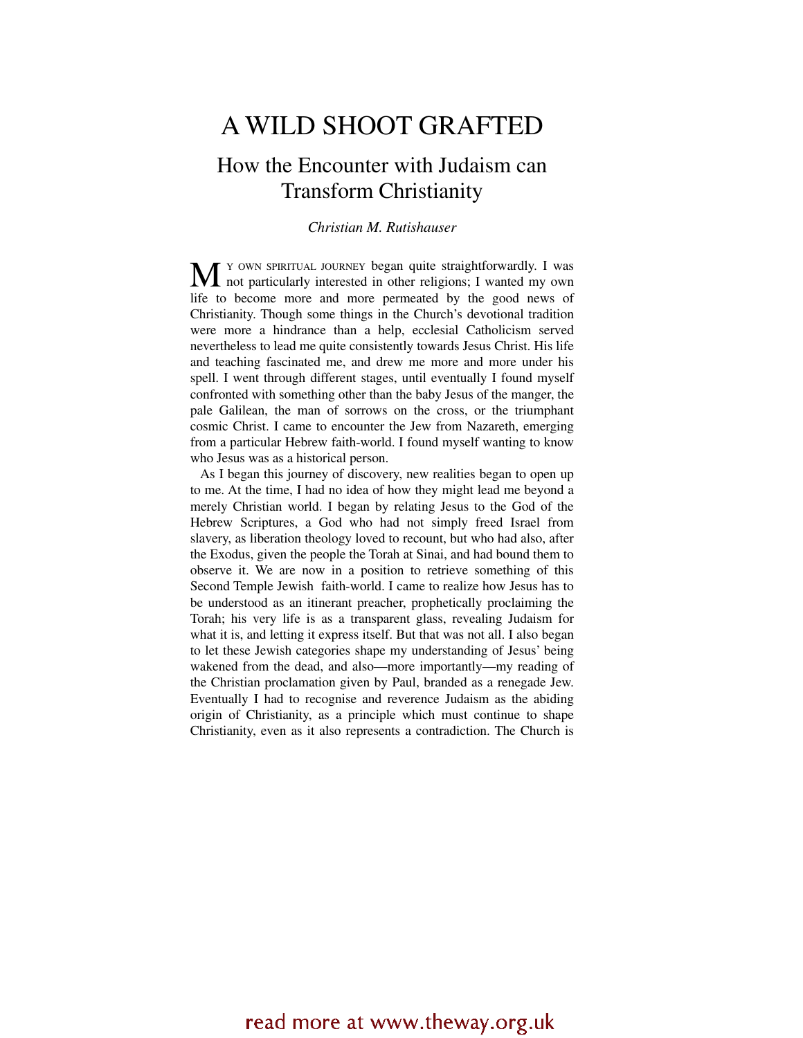# A WILD SHOOT GRAFTED

## How the Encounter with Judaism can Transform Christianity

*Christian M. Rutishauser* 

Y OWN SPIRITUAL JOURNEY began quite straightforwardly. I was M <sup>Y</sup> OWN SPIRITUAL JOURNEY began quite straightforwardly. I was not particularly interested in other religions; I wanted my own life to become more and more permeated by the good news of Christianity. Though some things in the Church's devotional tradition were more a hindrance than a help, ecclesial Catholicism served nevertheless to lead me quite consistently towards Jesus Christ. His life and teaching fascinated me, and drew me more and more under his spell. I went through different stages, until eventually I found myself confronted with something other than the baby Jesus of the manger, the pale Galilean, the man of sorrows on the cross, or the triumphant cosmic Christ. I came to encounter the Jew from Nazareth, emerging from a particular Hebrew faith-world. I found myself wanting to know who Jesus was as a historical person.

As I began this journey of discovery, new realities began to open up to me. At the time, I had no idea of how they might lead me beyond a merely Christian world. I began by relating Jesus to the God of the Hebrew Scriptures, a God who had not simply freed Israel from slavery, as liberation theology loved to recount, but who had also, after the Exodus, given the people the Torah at Sinai, and had bound them to observe it. We are now in a position to retrieve something of this Second Temple Jewish faith-world. I came to realize how Jesus has to be understood as an itinerant preacher, prophetically proclaiming the Torah; his very life is as a transparent glass, revealing Judaism for what it is, and letting it express itself. But that was not all. I also began to let these Jewish categories shape my understanding of Jesus' being wakened from the dead, and also—more importantly—my reading of the Christian proclamation given by Paul, branded as a renegade Jew. Eventually I had to recognise and reverence Judaism as the abiding origin of Christianity, as a principle which must continue to shape Christianity, even as it also represents a contradiction. The Church is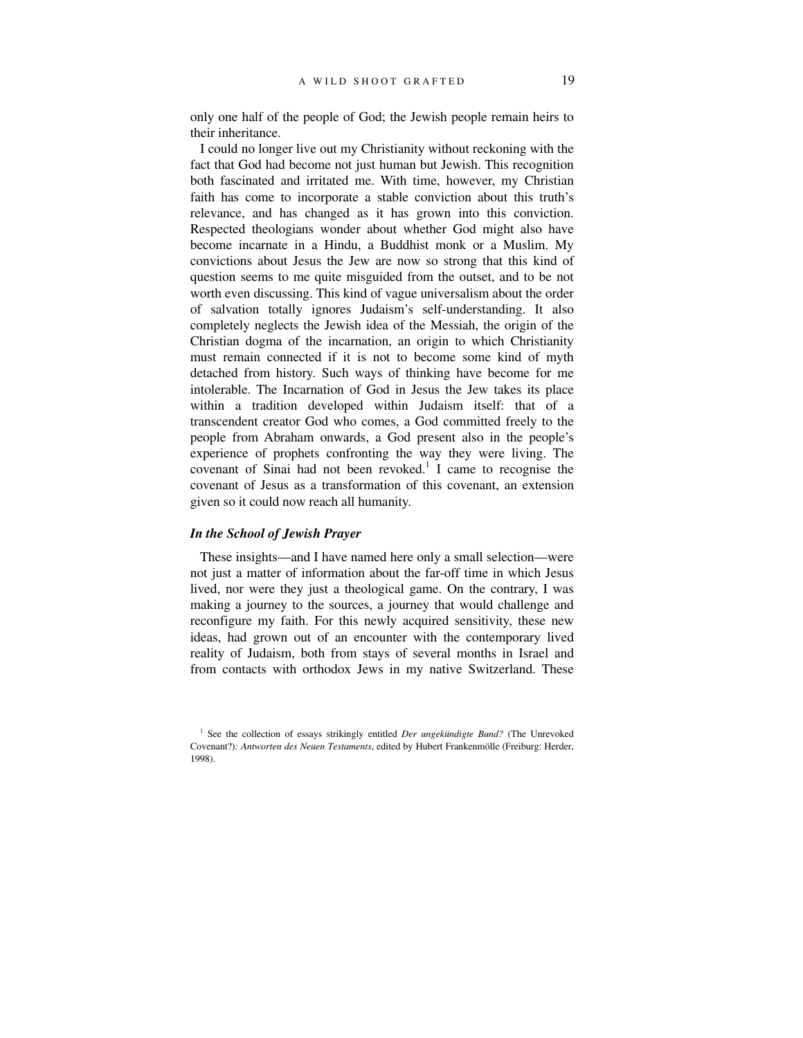only one half of the people of God; the Jewish people remain heirs to their inheritance.

I could no longer live out my Christianity without reckoning with the fact that God had become not just human but Jewish. This recognition both fascinated and irritated me. With time, however, my Christian faith has come to incorporate a stable conviction about this truth's relevance, and has changed as it has grown into this conviction. Respected theologians wonder about whether God might also have become incarnate in a Hindu, a Buddhist monk or a Muslim. My convictions about Jesus the Jew are now so strong that this kind of question seems to me quite misguided from the outset, and to be not worth even discussing. This kind of vague universalism about the order of salvation totally ignores Judaism's self-understanding. It also completely neglects the Jewish idea of the Messiah, the origin of the Christian dogma of the incarnation, an origin to which Christianity must remain connected if it is not to become some kind of myth detached from history. Such ways of thinking have become for me intolerable. The Incarnation of God in Jesus the Jew takes its place within a tradition developed within Judaism itself: that of a transcendent creator God who comes, a God committed freely to the people from Abraham onwards, a God present also in the people's experience of prophets confronting the way they were living. The covenant of Sinai had not been revoked.<sup>1</sup> I came to recognise the covenant of Jesus as a transformation of this covenant, an extension given so it could now reach all humanity.

### *In the School of Jewish Prayer*

These insights—and I have named here only a small selection—were not just a matter of information about the far-off time in which Jesus lived, nor were they just a theological game. On the contrary, I was making a journey to the sources, a journey that would challenge and reconfigure my faith. For this newly acquired sensitivity, these new ideas, had grown out of an encounter with the contemporary lived reality of Judaism, both from stays of several months in Israel and from contacts with orthodox Jews in my native Switzerland. These

<sup>&</sup>lt;sup>1</sup> See the collection of essays strikingly entitled *Der ungekündigte Bund?* (The Unrevoked Covenant?)*: Antworten des Neuen Testaments*, edited by Hubert Frankenmölle (Freiburg: Herder, 1998).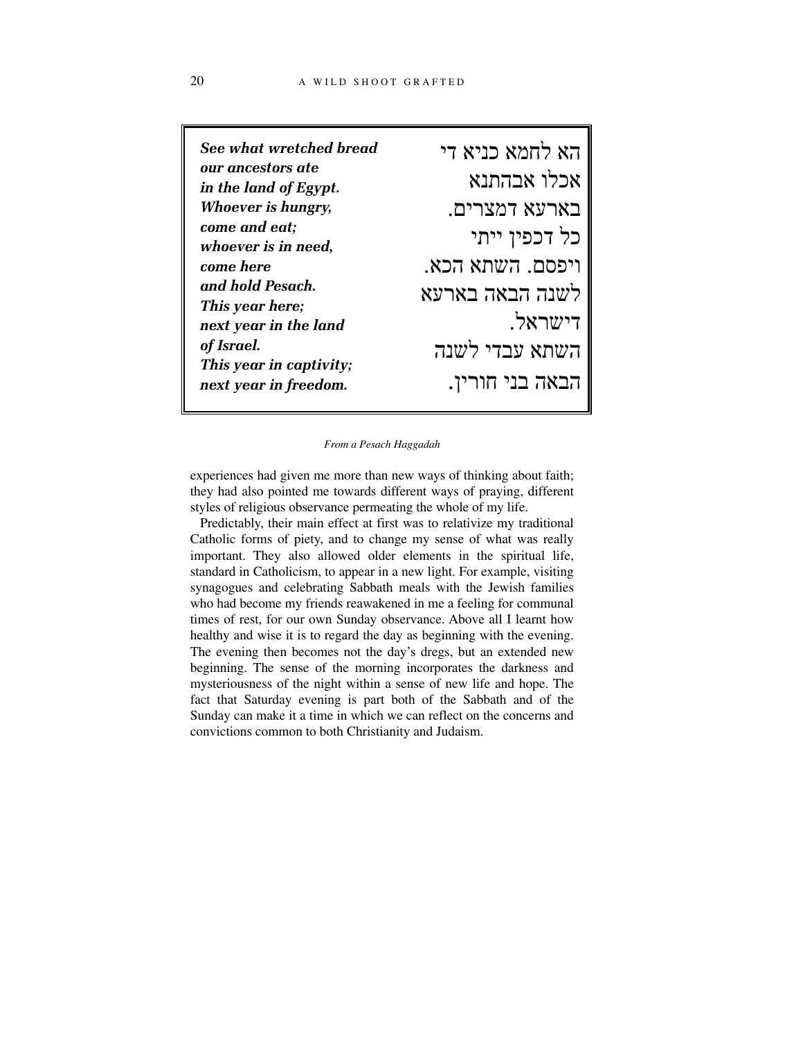| See what wretched bread                          | הא לחמא כניא די  |
|--------------------------------------------------|------------------|
| our ancestors ate<br>in the land of Egypt.       | אכלו אבהתנא      |
| <b>Whoever is hungry,</b>                        | בארעא דמצרים.    |
| come and eat;<br>whoever is in need,             | כל דכפין ייתי    |
| come here                                        | ויפסם. השתא הכא. |
| and hold Pesach.<br>This year here;              | לשנה הבאה בארעא  |
| next year in the land                            | <b>דישראל.</b>   |
| of Israel.                                       | השתא עבדי לשנה   |
| This year in captivity;<br>next year in freedom. | הבאה בני חורין.  |
|                                                  |                  |

*From a Pesach Haggadah*

experiences had given me more than new ways of thinking about faith; they had also pointed me towards different ways of praying, different styles of religious observance permeating the whole of my life.

Predictably, their main effect at first was to relativize my traditional Catholic forms of piety, and to change my sense of what was really important. They also allowed older elements in the spiritual life, standard in Catholicism, to appear in a new light. For example, visiting synagogues and celebrating Sabbath meals with the Jewish families who had become my friends reawakened in me a feeling for communal times of rest, for our own Sunday observance. Above all I learnt how healthy and wise it is to regard the day as beginning with the evening. The evening then becomes not the day's dregs, but an extended new beginning. The sense of the morning incorporates the darkness and mysteriousness of the night within a sense of new life and hope. The fact that Saturday evening is part both of the Sabbath and of the Sunday can make it a time in which we can reflect on the concerns and convictions common to both Christianity and Judaism.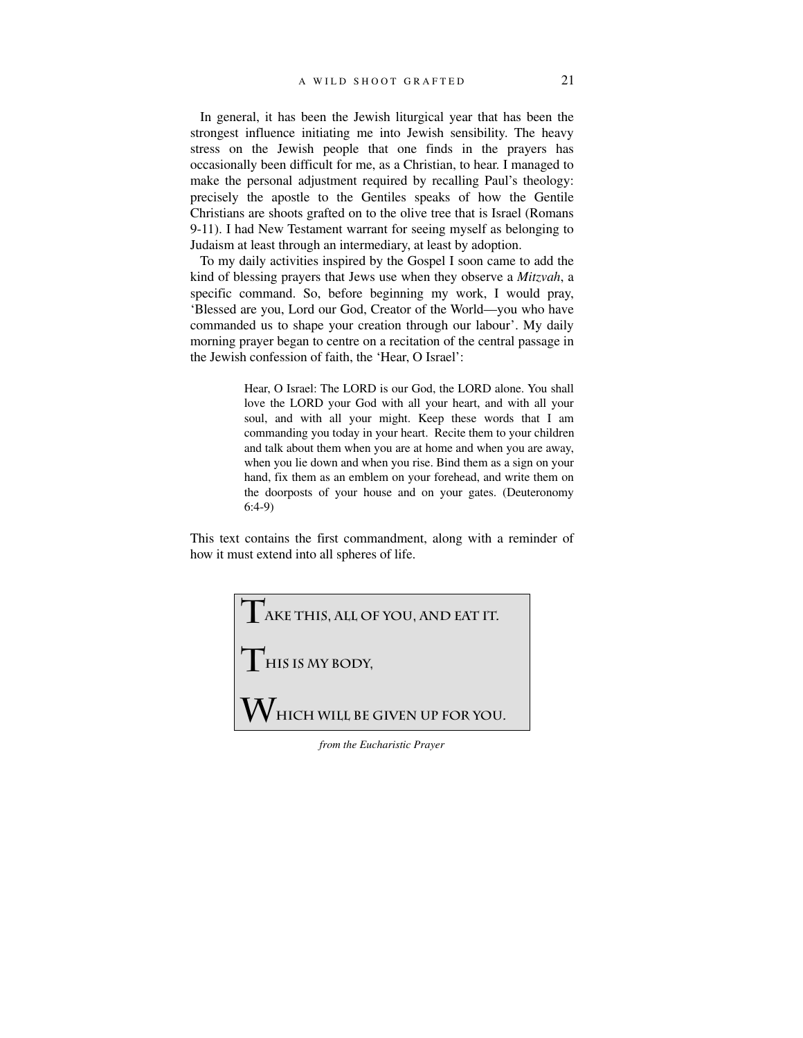In general, it has been the Jewish liturgical year that has been the strongest influence initiating me into Jewish sensibility. The heavy stress on the Jewish people that one finds in the prayers has occasionally been difficult for me, as a Christian, to hear. I managed to make the personal adjustment required by recalling Paul's theology: precisely the apostle to the Gentiles speaks of how the Gentile Christians are shoots grafted on to the olive tree that is Israel (Romans 9-11). I had New Testament warrant for seeing myself as belonging to Judaism at least through an intermediary, at least by adoption.

To my daily activities inspired by the Gospel I soon came to add the kind of blessing prayers that Jews use when they observe a *Mitzvah*, a specific command. So, before beginning my work, I would pray, 'Blessed are you, Lord our God, Creator of the World—you who have commanded us to shape your creation through our labour'. My daily morning prayer began to centre on a recitation of the central passage in the Jewish confession of faith, the 'Hear, O Israel':

> Hear, O Israel: The LORD is our God, the LORD alone. You shall love the LORD your God with all your heart, and with all your soul, and with all your might. Keep these words that I am commanding you today in your heart. Recite them to your children and talk about them when you are at home and when you are away, when you lie down and when you rise. Bind them as a sign on your hand, fix them as an emblem on your forehead, and write them on the doorposts of your house and on your gates. (Deuteronomy 6:4-9)

This text contains the first commandment, along with a reminder of how it must extend into all spheres of life.



*from the Eucharistic Prayer*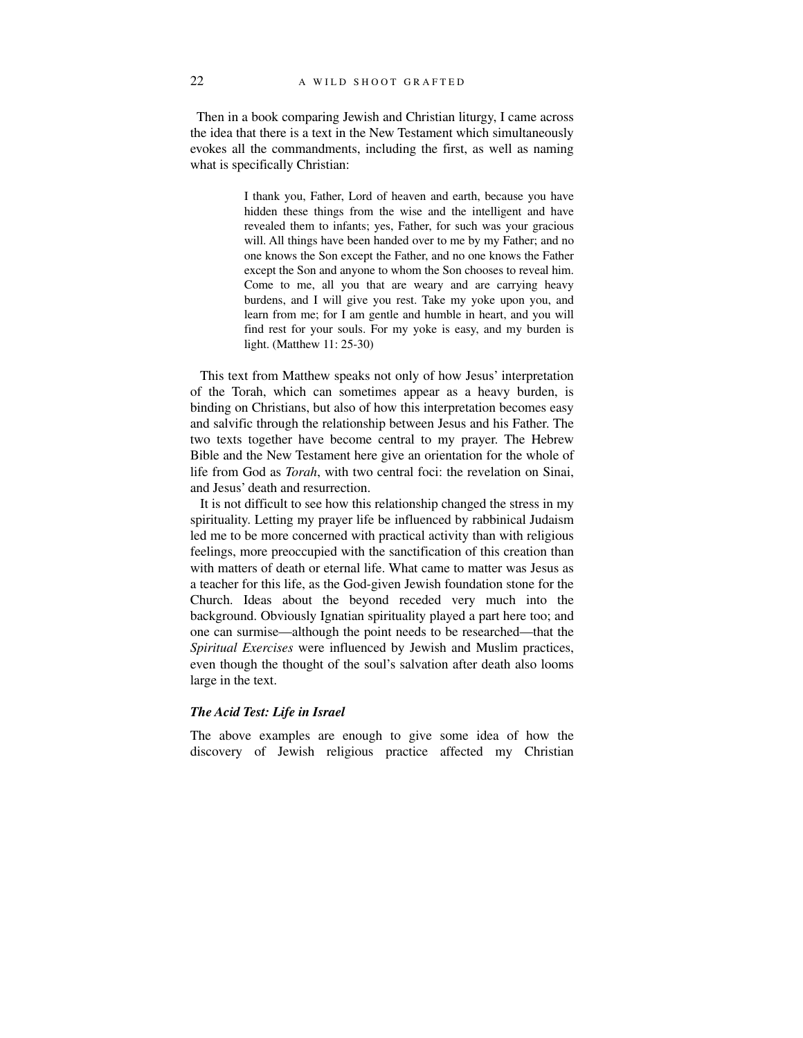Then in a book comparing Jewish and Christian liturgy, I came across the idea that there is a text in the New Testament which simultaneously evokes all the commandments, including the first, as well as naming what is specifically Christian:

> I thank you, Father, Lord of heaven and earth, because you have hidden these things from the wise and the intelligent and have revealed them to infants; yes, Father, for such was your gracious will. All things have been handed over to me by my Father; and no one knows the Son except the Father, and no one knows the Father except the Son and anyone to whom the Son chooses to reveal him. Come to me, all you that are weary and are carrying heavy burdens, and I will give you rest. Take my yoke upon you, and learn from me; for I am gentle and humble in heart, and you will find rest for your souls. For my yoke is easy, and my burden is light. (Matthew 11: 25-30)

This text from Matthew speaks not only of how Jesus' interpretation of the Torah, which can sometimes appear as a heavy burden, is binding on Christians, but also of how this interpretation becomes easy and salvific through the relationship between Jesus and his Father. The two texts together have become central to my prayer. The Hebrew Bible and the New Testament here give an orientation for the whole of life from God as *Torah*, with two central foci: the revelation on Sinai, and Jesus' death and resurrection.

It is not difficult to see how this relationship changed the stress in my spirituality. Letting my prayer life be influenced by rabbinical Judaism led me to be more concerned with practical activity than with religious feelings, more preoccupied with the sanctification of this creation than with matters of death or eternal life. What came to matter was Jesus as a teacher for this life, as the God-given Jewish foundation stone for the Church. Ideas about the beyond receded very much into the background. Obviously Ignatian spirituality played a part here too; and one can surmise—although the point needs to be researched—that the *Spiritual Exercises* were influenced by Jewish and Muslim practices, even though the thought of the soul's salvation after death also looms large in the text.

### *The Acid Test: Life in Israel*

The above examples are enough to give some idea of how the discovery of Jewish religious practice affected my Christian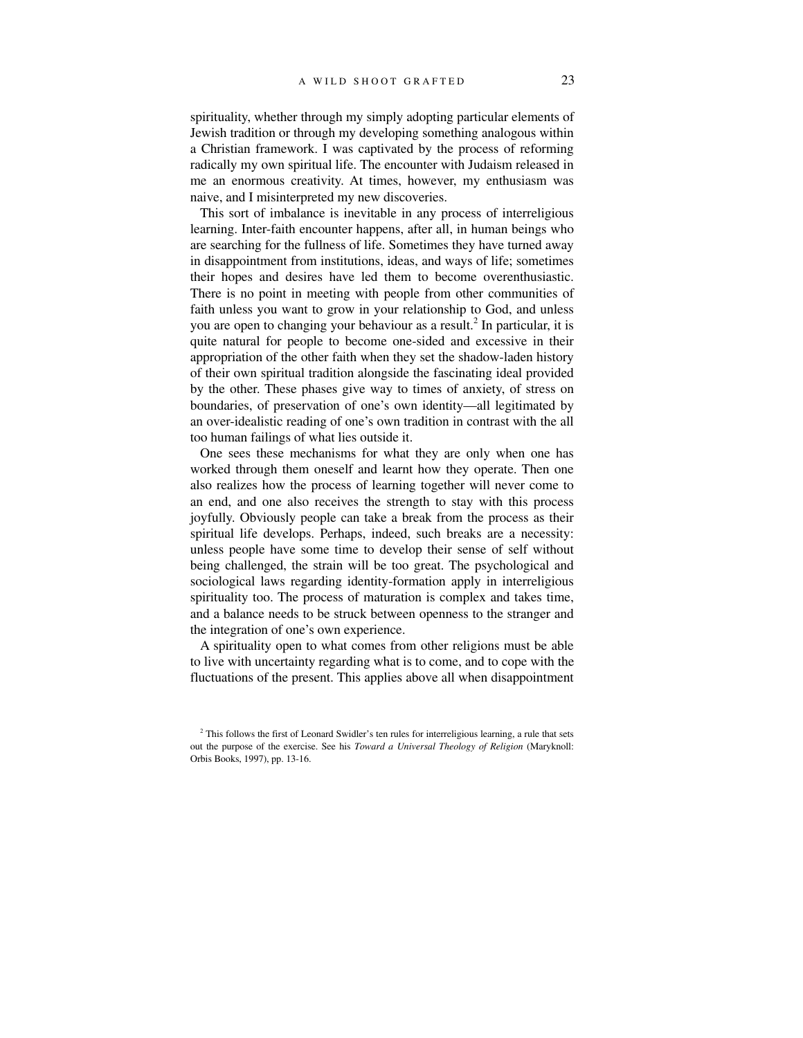spirituality, whether through my simply adopting particular elements of Jewish tradition or through my developing something analogous within a Christian framework. I was captivated by the process of reforming radically my own spiritual life. The encounter with Judaism released in me an enormous creativity. At times, however, my enthusiasm was naive, and I misinterpreted my new discoveries.

This sort of imbalance is inevitable in any process of interreligious learning. Inter-faith encounter happens, after all, in human beings who are searching for the fullness of life. Sometimes they have turned away in disappointment from institutions, ideas, and ways of life; sometimes their hopes and desires have led them to become overenthusiastic. There is no point in meeting with people from other communities of faith unless you want to grow in your relationship to God, and unless you are open to changing your behaviour as a result.<sup>2</sup> In particular, it is quite natural for people to become one-sided and excessive in their appropriation of the other faith when they set the shadow-laden history of their own spiritual tradition alongside the fascinating ideal provided by the other. These phases give way to times of anxiety, of stress on boundaries, of preservation of one's own identity—all legitimated by an over-idealistic reading of one's own tradition in contrast with the all too human failings of what lies outside it.

One sees these mechanisms for what they are only when one has worked through them oneself and learnt how they operate. Then one also realizes how the process of learning together will never come to an end, and one also receives the strength to stay with this process joyfully. Obviously people can take a break from the process as their spiritual life develops. Perhaps, indeed, such breaks are a necessity: unless people have some time to develop their sense of self without being challenged, the strain will be too great. The psychological and sociological laws regarding identity-formation apply in interreligious spirituality too. The process of maturation is complex and takes time, and a balance needs to be struck between openness to the stranger and the integration of one's own experience.

A spirituality open to what comes from other religions must be able to live with uncertainty regarding what is to come, and to cope with the fluctuations of the present. This applies above all when disappointment

 $2^2$  This follows the first of Leonard Swidler's ten rules for interreligious learning, a rule that sets out the purpose of the exercise. See his *Toward a Universal Theology of Religion* (Maryknoll: Orbis Books, 1997), pp. 13-16.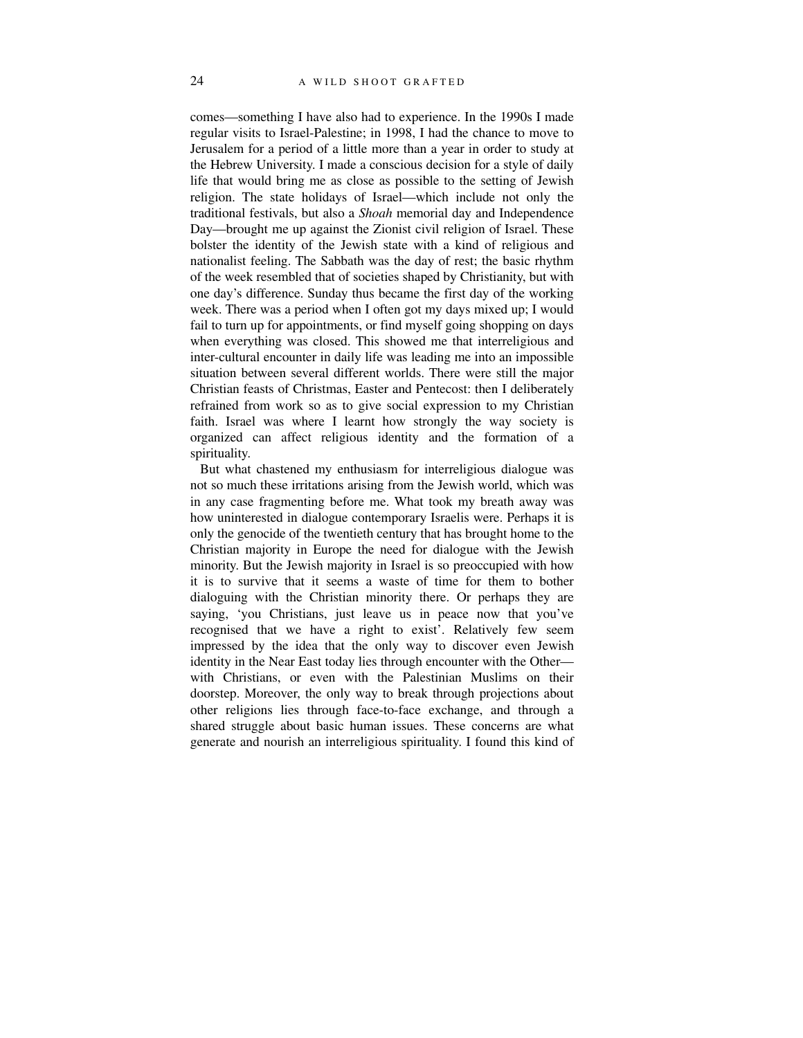comes—something I have also had to experience. In the 1990s I made regular visits to Israel-Palestine; in 1998, I had the chance to move to Jerusalem for a period of a little more than a year in order to study at the Hebrew University. I made a conscious decision for a style of daily life that would bring me as close as possible to the setting of Jewish religion. The state holidays of Israel—which include not only the traditional festivals, but also a *Shoah* memorial day and Independence Day—brought me up against the Zionist civil religion of Israel. These bolster the identity of the Jewish state with a kind of religious and nationalist feeling. The Sabbath was the day of rest; the basic rhythm of the week resembled that of societies shaped by Christianity, but with one day's difference. Sunday thus became the first day of the working week. There was a period when I often got my days mixed up; I would fail to turn up for appointments, or find myself going shopping on days when everything was closed. This showed me that interreligious and inter-cultural encounter in daily life was leading me into an impossible situation between several different worlds. There were still the major Christian feasts of Christmas, Easter and Pentecost: then I deliberately refrained from work so as to give social expression to my Christian faith. Israel was where I learnt how strongly the way society is organized can affect religious identity and the formation of a spirituality.

But what chastened my enthusiasm for interreligious dialogue was not so much these irritations arising from the Jewish world, which was in any case fragmenting before me. What took my breath away was how uninterested in dialogue contemporary Israelis were. Perhaps it is only the genocide of the twentieth century that has brought home to the Christian majority in Europe the need for dialogue with the Jewish minority. But the Jewish majority in Israel is so preoccupied with how it is to survive that it seems a waste of time for them to bother dialoguing with the Christian minority there. Or perhaps they are saying, 'you Christians, just leave us in peace now that you've recognised that we have a right to exist'. Relatively few seem impressed by the idea that the only way to discover even Jewish identity in the Near East today lies through encounter with the Other with Christians, or even with the Palestinian Muslims on their doorstep. Moreover, the only way to break through projections about other religions lies through face-to-face exchange, and through a shared struggle about basic human issues. These concerns are what generate and nourish an interreligious spirituality. I found this kind of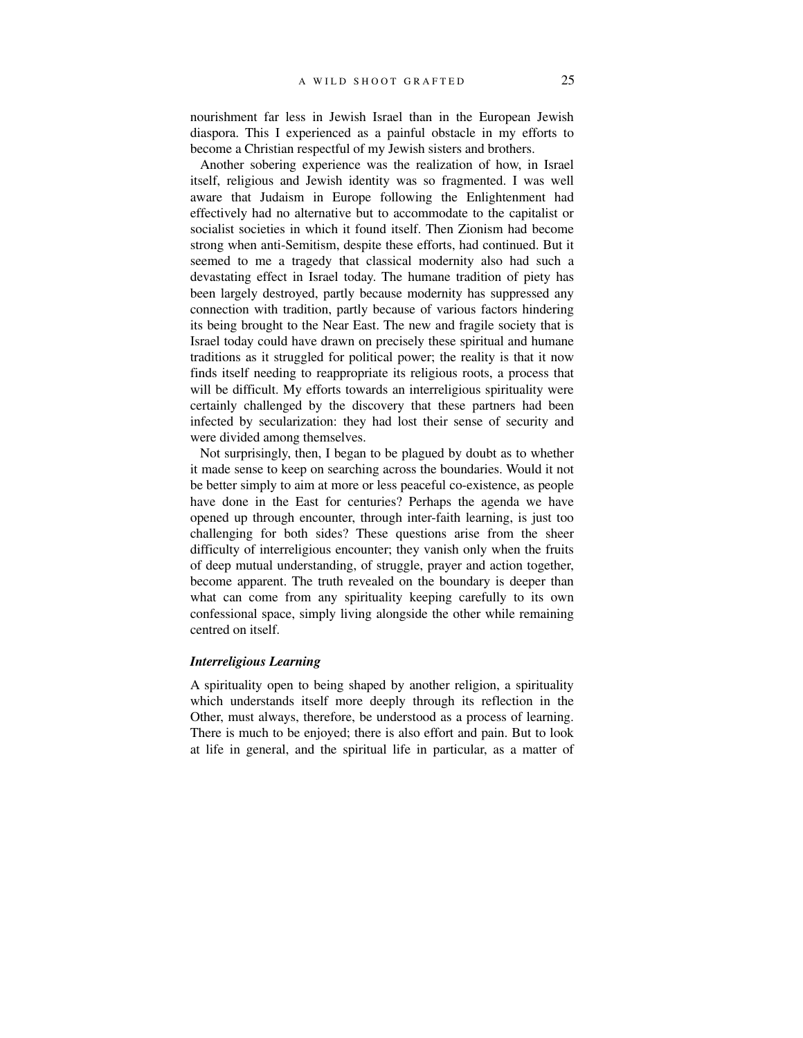nourishment far less in Jewish Israel than in the European Jewish diaspora. This I experienced as a painful obstacle in my efforts to become a Christian respectful of my Jewish sisters and brothers.

Another sobering experience was the realization of how, in Israel itself, religious and Jewish identity was so fragmented. I was well aware that Judaism in Europe following the Enlightenment had effectively had no alternative but to accommodate to the capitalist or socialist societies in which it found itself. Then Zionism had become strong when anti-Semitism, despite these efforts, had continued. But it seemed to me a tragedy that classical modernity also had such a devastating effect in Israel today. The humane tradition of piety has been largely destroyed, partly because modernity has suppressed any connection with tradition, partly because of various factors hindering its being brought to the Near East. The new and fragile society that is Israel today could have drawn on precisely these spiritual and humane traditions as it struggled for political power; the reality is that it now finds itself needing to reappropriate its religious roots, a process that will be difficult. My efforts towards an interreligious spirituality were certainly challenged by the discovery that these partners had been infected by secularization: they had lost their sense of security and were divided among themselves.

Not surprisingly, then, I began to be plagued by doubt as to whether it made sense to keep on searching across the boundaries. Would it not be better simply to aim at more or less peaceful co-existence, as people have done in the East for centuries? Perhaps the agenda we have opened up through encounter, through inter-faith learning, is just too challenging for both sides? These questions arise from the sheer difficulty of interreligious encounter; they vanish only when the fruits of deep mutual understanding, of struggle, prayer and action together, become apparent. The truth revealed on the boundary is deeper than what can come from any spirituality keeping carefully to its own confessional space, simply living alongside the other while remaining centred on itself.

### *Interreligious Learning*

A spirituality open to being shaped by another religion, a spirituality which understands itself more deeply through its reflection in the Other, must always, therefore, be understood as a process of learning. There is much to be enjoyed; there is also effort and pain. But to look at life in general, and the spiritual life in particular, as a matter of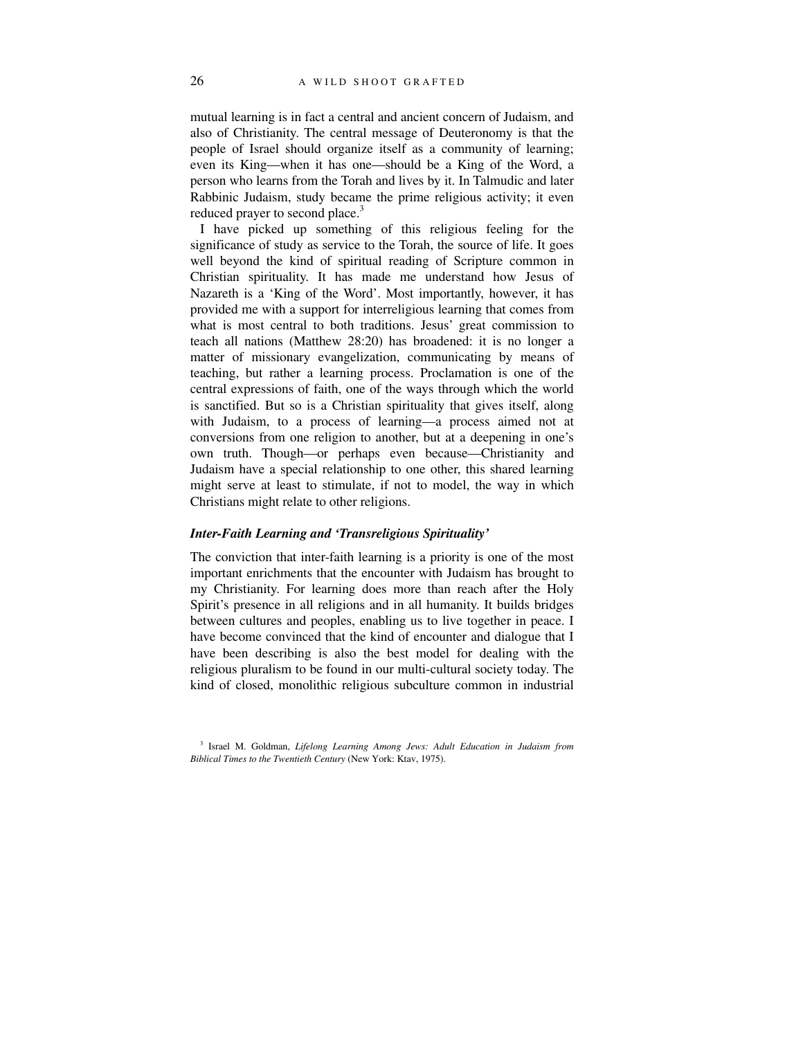mutual learning is in fact a central and ancient concern of Judaism, and also of Christianity. The central message of Deuteronomy is that the people of Israel should organize itself as a community of learning; even its King—when it has one—should be a King of the Word, a person who learns from the Torah and lives by it. In Talmudic and later Rabbinic Judaism, study became the prime religious activity; it even reduced prayer to second place.<sup>3</sup>

I have picked up something of this religious feeling for the significance of study as service to the Torah, the source of life. It goes well beyond the kind of spiritual reading of Scripture common in Christian spirituality. It has made me understand how Jesus of Nazareth is a 'King of the Word'. Most importantly, however, it has provided me with a support for interreligious learning that comes from what is most central to both traditions. Jesus' great commission to teach all nations (Matthew 28:20) has broadened: it is no longer a matter of missionary evangelization, communicating by means of teaching, but rather a learning process. Proclamation is one of the central expressions of faith, one of the ways through which the world is sanctified. But so is a Christian spirituality that gives itself, along with Judaism, to a process of learning—a process aimed not at conversions from one religion to another, but at a deepening in one's own truth. Though—or perhaps even because—Christianity and Judaism have a special relationship to one other, this shared learning might serve at least to stimulate, if not to model, the way in which Christians might relate to other religions.

### *Inter-Faith Learning and 'Transreligious Spirituality'*

The conviction that inter-faith learning is a priority is one of the most important enrichments that the encounter with Judaism has brought to my Christianity. For learning does more than reach after the Holy Spirit's presence in all religions and in all humanity. It builds bridges between cultures and peoples, enabling us to live together in peace. I have become convinced that the kind of encounter and dialogue that I have been describing is also the best model for dealing with the religious pluralism to be found in our multi-cultural society today. The kind of closed, monolithic religious subculture common in industrial

<sup>3</sup> Israel M. Goldman, *Lifelong Learning Among Jews: Adult Education in Judaism from Biblical Times to the Twentieth Century* (New York: Ktav, 1975).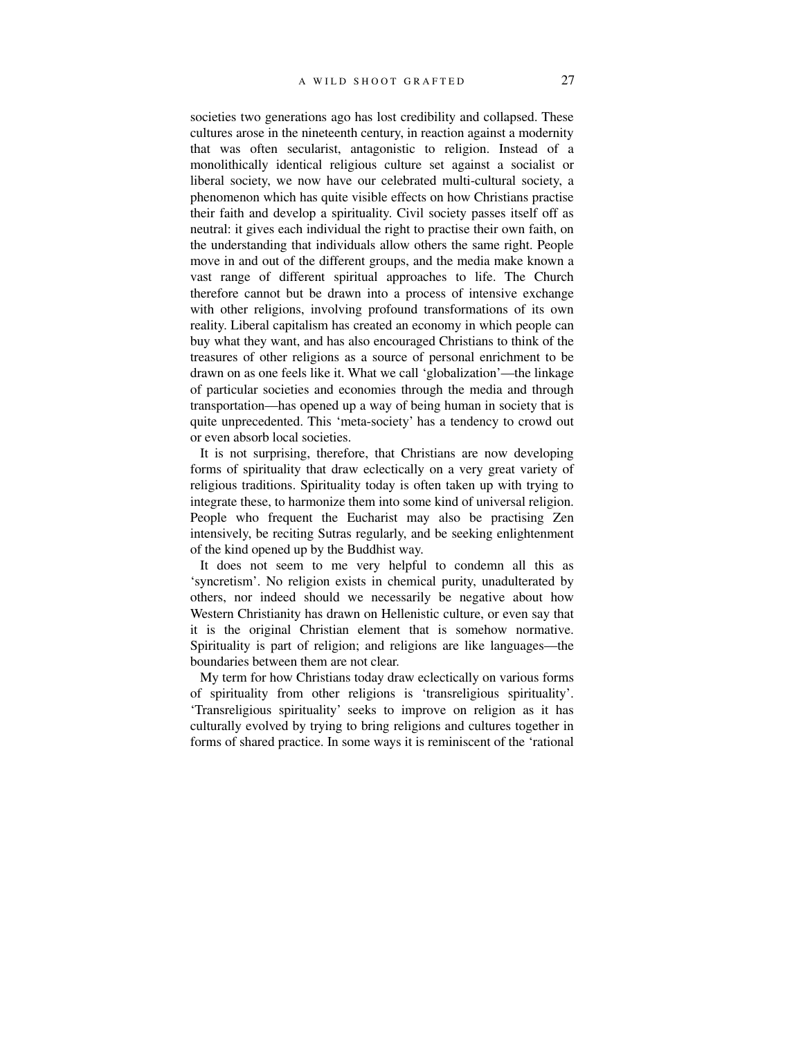societies two generations ago has lost credibility and collapsed. These cultures arose in the nineteenth century, in reaction against a modernity that was often secularist, antagonistic to religion. Instead of a monolithically identical religious culture set against a socialist or liberal society, we now have our celebrated multi-cultural society, a phenomenon which has quite visible effects on how Christians practise their faith and develop a spirituality. Civil society passes itself off as neutral: it gives each individual the right to practise their own faith, on the understanding that individuals allow others the same right. People move in and out of the different groups, and the media make known a vast range of different spiritual approaches to life. The Church therefore cannot but be drawn into a process of intensive exchange with other religions, involving profound transformations of its own reality. Liberal capitalism has created an economy in which people can buy what they want, and has also encouraged Christians to think of the treasures of other religions as a source of personal enrichment to be drawn on as one feels like it. What we call 'globalization'—the linkage of particular societies and economies through the media and through transportation—has opened up a way of being human in society that is quite unprecedented. This 'meta-society' has a tendency to crowd out or even absorb local societies.

It is not surprising, therefore, that Christians are now developing forms of spirituality that draw eclectically on a very great variety of religious traditions. Spirituality today is often taken up with trying to integrate these, to harmonize them into some kind of universal religion. People who frequent the Eucharist may also be practising Zen intensively, be reciting Sutras regularly, and be seeking enlightenment of the kind opened up by the Buddhist way.

It does not seem to me very helpful to condemn all this as 'syncretism'. No religion exists in chemical purity, unadulterated by others, nor indeed should we necessarily be negative about how Western Christianity has drawn on Hellenistic culture, or even say that it is the original Christian element that is somehow normative. Spirituality is part of religion; and religions are like languages—the boundaries between them are not clear.

My term for how Christians today draw eclectically on various forms of spirituality from other religions is 'transreligious spirituality'. 'Transreligious spirituality' seeks to improve on religion as it has culturally evolved by trying to bring religions and cultures together in forms of shared practice. In some ways it is reminiscent of the 'rational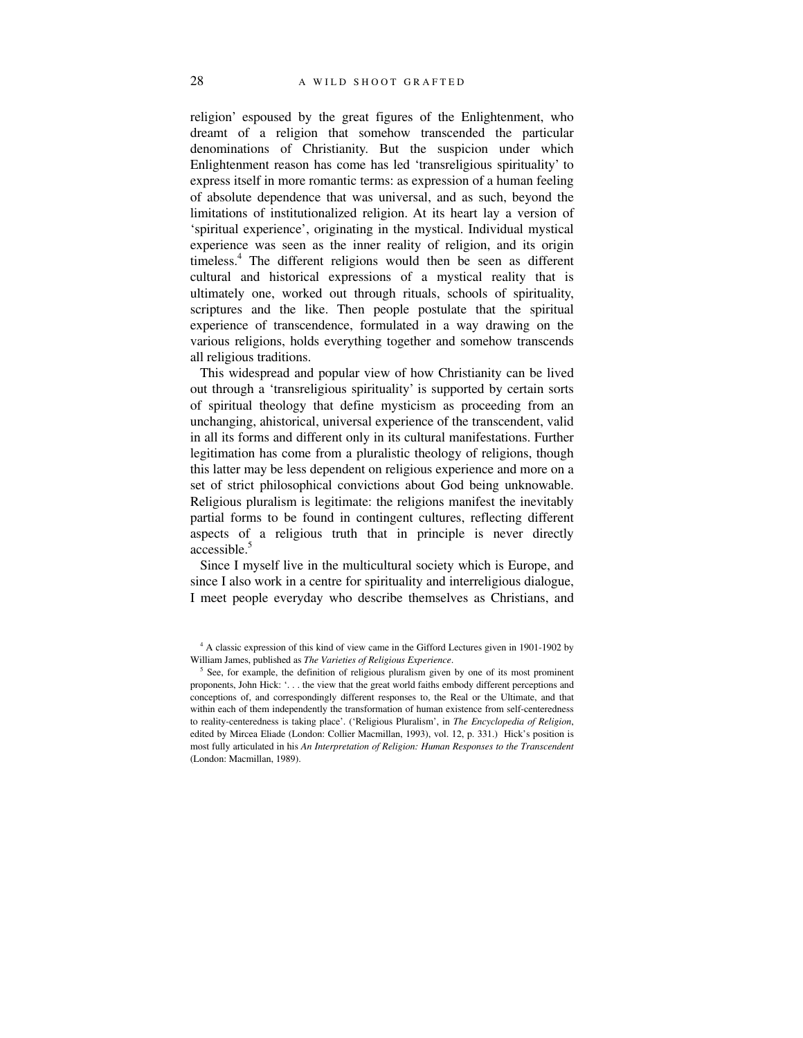religion' espoused by the great figures of the Enlightenment, who dreamt of a religion that somehow transcended the particular denominations of Christianity. But the suspicion under which Enlightenment reason has come has led 'transreligious spirituality' to express itself in more romantic terms: as expression of a human feeling of absolute dependence that was universal, and as such, beyond the limitations of institutionalized religion. At its heart lay a version of 'spiritual experience', originating in the mystical. Individual mystical experience was seen as the inner reality of religion, and its origin timeless.4 The different religions would then be seen as different cultural and historical expressions of a mystical reality that is ultimately one, worked out through rituals, schools of spirituality, scriptures and the like. Then people postulate that the spiritual experience of transcendence, formulated in a way drawing on the various religions, holds everything together and somehow transcends all religious traditions.

This widespread and popular view of how Christianity can be lived out through a 'transreligious spirituality' is supported by certain sorts of spiritual theology that define mysticism as proceeding from an unchanging, ahistorical, universal experience of the transcendent, valid in all its forms and different only in its cultural manifestations. Further legitimation has come from a pluralistic theology of religions, though this latter may be less dependent on religious experience and more on a set of strict philosophical convictions about God being unknowable. Religious pluralism is legitimate: the religions manifest the inevitably partial forms to be found in contingent cultures, reflecting different aspects of a religious truth that in principle is never directly accessible.<sup>5</sup>

Since I myself live in the multicultural society which is Europe, and since I also work in a centre for spirituality and interreligious dialogue, I meet people everyday who describe themselves as Christians, and

<sup>&</sup>lt;sup>4</sup> A classic expression of this kind of view came in the Gifford Lectures given in 1901-1902 by William James, published as *The Varieties of Religious Experience*.

<sup>&</sup>lt;sup>5</sup> See, for example, the definition of religious pluralism given by one of its most prominent proponents, John Hick: '. . . the view that the great world faiths embody different perceptions and conceptions of, and correspondingly different responses to, the Real or the Ultimate, and that within each of them independently the transformation of human existence from self-centeredness to reality-centeredness is taking place'. ('Religious Pluralism', in *The Encyclopedia of Religion*, edited by Mircea Eliade (London: Collier Macmillan, 1993), vol. 12, p. 331.) Hick's position is most fully articulated in his *An Interpretation of Religion: Human Responses to the Transcendent* (London: Macmillan, 1989).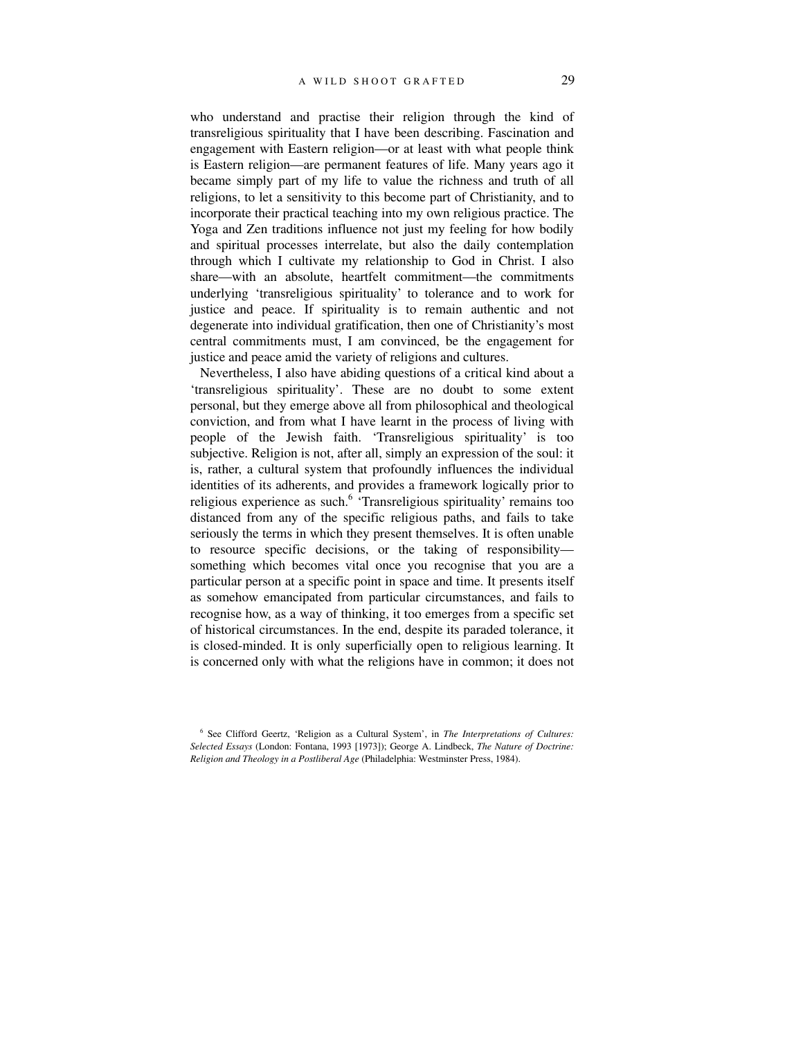who understand and practise their religion through the kind of transreligious spirituality that I have been describing. Fascination and engagement with Eastern religion—or at least with what people think is Eastern religion—are permanent features of life. Many years ago it became simply part of my life to value the richness and truth of all religions, to let a sensitivity to this become part of Christianity, and to incorporate their practical teaching into my own religious practice. The Yoga and Zen traditions influence not just my feeling for how bodily and spiritual processes interrelate, but also the daily contemplation through which I cultivate my relationship to God in Christ. I also share—with an absolute, heartfelt commitment—the commitments underlying 'transreligious spirituality' to tolerance and to work for justice and peace. If spirituality is to remain authentic and not degenerate into individual gratification, then one of Christianity's most central commitments must, I am convinced, be the engagement for justice and peace amid the variety of religions and cultures.

Nevertheless, I also have abiding questions of a critical kind about a 'transreligious spirituality'. These are no doubt to some extent personal, but they emerge above all from philosophical and theological conviction, and from what I have learnt in the process of living with people of the Jewish faith. 'Transreligious spirituality' is too subjective. Religion is not, after all, simply an expression of the soul: it is, rather, a cultural system that profoundly influences the individual identities of its adherents, and provides a framework logically prior to religious experience as such.<sup>6</sup> 'Transreligious spirituality' remains too distanced from any of the specific religious paths, and fails to take seriously the terms in which they present themselves. It is often unable to resource specific decisions, or the taking of responsibility something which becomes vital once you recognise that you are a particular person at a specific point in space and time. It presents itself as somehow emancipated from particular circumstances, and fails to recognise how, as a way of thinking, it too emerges from a specific set of historical circumstances. In the end, despite its paraded tolerance, it is closed-minded. It is only superficially open to religious learning. It is concerned only with what the religions have in common; it does not

<sup>6</sup> See Clifford Geertz, 'Religion as a Cultural System', in *The Interpretations of Cultures: Selected Essays* (London: Fontana, 1993 [1973]); George A. Lindbeck, *The Nature of Doctrine: Religion and Theology in a Postliberal Age* (Philadelphia: Westminster Press, 1984).